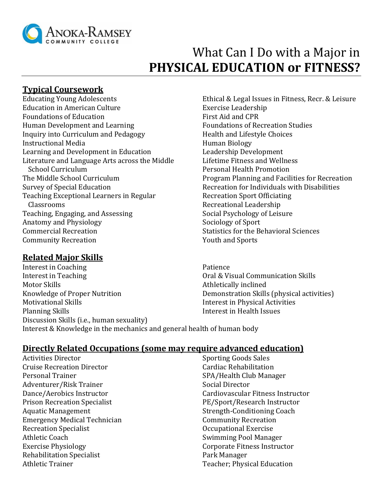

# What Can I Do with a Major in **PHYSICAL EDUCATION or FITNESS?**

# **Typical Coursework**

Educating Young Adolescents Education in American Culture Foundations of Education Human Development and Learning Inquiry into Curriculum and Pedagogy Instructional Media Learning and Development in Education Literature and Language Arts across the Middle School Curriculum The Middle School Curriculum Survey of Special Education Teaching Exceptional Learners in Regular Classrooms Teaching, Engaging, and Assessing Anatomy and Physiology Commercial Recreation Community Recreation

# **Related Major Skills**

Interest in Coaching Interest in Teaching Motor Skills Knowledge of Proper Nutrition Motivational Skills Planning Skills Discussion Skills (i.e., human sexuality) Patience Athletically inclined Interest & Knowledge in the mechanics and general health of human body

Ethical & Legal Issues in Fitness, Recr. & Leisure Exercise Leadership First Aid and CPR Foundations of Recreation Studies Health and Lifestyle Choices Human Biology Leadership Development Lifetime Fitness and Wellness Personal Health Promotion Program Planning and Facilities for Recreation Recreation for Individuals with Disabilities Recreation Sport Officiating Recreational Leadership Social Psychology of Leisure Sociology of Sport Statistics for the Behavioral Sciences Youth and Sports

Oral & Visual Communication Skills Demonstration Skills (physical activities) Interest in Physical Activities Interest in Health Issues

# **Directly Related Occupations (some may require advanced education)**

Activities Director Cruise Recreation Director Personal Trainer Adventurer/Risk Trainer Dance/Aerobics Instructor Prison Recreation Specialist Aquatic Management Emergency Medical Technician Recreation Specialist Athletic Coach Exercise Physiology Rehabilitation Specialist Athletic Trainer

Sporting Goods Sales Cardiac Rehabilitation SPA/Health Club Manager Social Director Cardiovascular Fitness Instructor PE/Sport/Research Instructor Strength-Conditioning Coach Community Recreation Occupational Exercise Swimming Pool Manager Corporate Fitness Instructor Park Manager Teacher; Physical Education